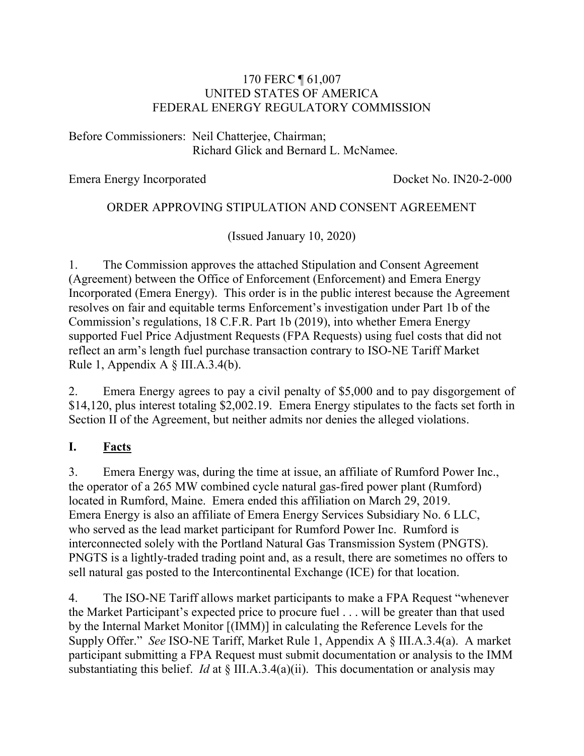#### 170 FERC ¶ 61,007 UNITED STATES OF AMERICA FEDERAL ENERGY REGULATORY COMMISSION

Before Commissioners: Neil Chatterjee, Chairman; Richard Glick and Bernard L. McNamee.

Emera Energy Incorporated Docket No. IN20-2-000

#### ORDER APPROVING STIPULATION AND CONSENT AGREEMENT

(Issued January 10, 2020)

1. The Commission approves the attached Stipulation and Consent Agreement (Agreement) between the Office of Enforcement (Enforcement) and Emera Energy Incorporated (Emera Energy). This order is in the public interest because the Agreement resolves on fair and equitable terms Enforcement's investigation under Part 1b of the Commission's regulations, 18 C.F.R. Part 1b (2019), into whether Emera Energy supported Fuel Price Adjustment Requests (FPA Requests) using fuel costs that did not reflect an arm's length fuel purchase transaction contrary to ISO-NE Tariff Market Rule 1, Appendix  $A \$  III.A.3.4(b).

2. Emera Energy agrees to pay a civil penalty of \$5,000 and to pay disgorgement of \$14,120, plus interest totaling \$2,002.19. Emera Energy stipulates to the facts set forth in Section II of the Agreement, but neither admits nor denies the alleged violations.

#### **I. Facts**

3. Emera Energy was, during the time at issue, an affiliate of Rumford Power Inc., the operator of a 265 MW combined cycle natural gas-fired power plant (Rumford) located in Rumford, Maine. Emera ended this affiliation on March 29, 2019. Emera Energy is also an affiliate of Emera Energy Services Subsidiary No. 6 LLC, who served as the lead market participant for Rumford Power Inc. Rumford is interconnected solely with the Portland Natural Gas Transmission System (PNGTS). PNGTS is a lightly-traded trading point and, as a result, there are sometimes no offers to sell natural gas posted to the Intercontinental Exchange (ICE) for that location.

4. The ISO-NE Tariff allows market participants to make a FPA Request "whenever the Market Participant's expected price to procure fuel . . . will be greater than that used by the Internal Market Monitor [(IMM)] in calculating the Reference Levels for the Supply Offer." *See* ISO-NE Tariff, Market Rule 1, Appendix A § III.A.3.4(a). A market participant submitting a FPA Request must submit documentation or analysis to the IMM substantiating this belief. *Id* at § III.A.3.4(a)(ii). This documentation or analysis may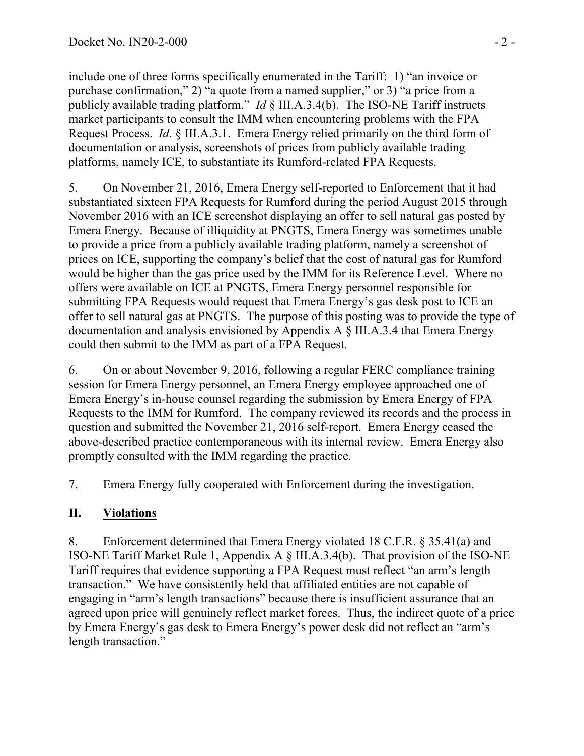include one of three forms specifically enumerated in the Tariff: 1) "an invoice or purchase confirmation," 2) "a quote from a named supplier," or 3) "a price from a publicly available trading platform." *Id* § III.A.3.4(b). The ISO-NE Tariff instructs market participants to consult the IMM when encountering problems with the FPA Request Process. *Id*. § III.A.3.1. Emera Energy relied primarily on the third form of documentation or analysis, screenshots of prices from publicly available trading platforms, namely ICE, to substantiate its Rumford-related FPA Requests.

5. On November 21, 2016, Emera Energy self-reported to Enforcement that it had substantiated sixteen FPA Requests for Rumford during the period August 2015 through November 2016 with an ICE screenshot displaying an offer to sell natural gas posted by Emera Energy. Because of illiquidity at PNGTS, Emera Energy was sometimes unable to provide a price from a publicly available trading platform, namely a screenshot of prices on ICE, supporting the company's belief that the cost of natural gas for Rumford would be higher than the gas price used by the IMM for its Reference Level. Where no offers were available on ICE at PNGTS, Emera Energy personnel responsible for submitting FPA Requests would request that Emera Energy's gas desk post to ICE an offer to sell natural gas at PNGTS. The purpose of this posting was to provide the type of documentation and analysis envisioned by Appendix A § III.A.3.4 that Emera Energy could then submit to the IMM as part of a FPA Request.

6. On or about November 9, 2016, following a regular FERC compliance training session for Emera Energy personnel, an Emera Energy employee approached one of Emera Energy's in-house counsel regarding the submission by Emera Energy of FPA Requests to the IMM for Rumford. The company reviewed its records and the process in question and submitted the November 21, 2016 self-report. Emera Energy ceased the above-described practice contemporaneous with its internal review. Emera Energy also promptly consulted with the IMM regarding the practice.

7. Emera Energy fully cooperated with Enforcement during the investigation.

# **II. Violations**

8. Enforcement determined that Emera Energy violated 18 C.F.R. § 35.41(a) and ISO-NE Tariff Market Rule 1, Appendix A § III.A.3.4(b). That provision of the ISO-NE Tariff requires that evidence supporting a FPA Request must reflect "an arm's length transaction." We have consistently held that affiliated entities are not capable of engaging in "arm's length transactions" because there is insufficient assurance that an agreed upon price will genuinely reflect market forces. Thus, the indirect quote of a price by Emera Energy's gas desk to Emera Energy's power desk did not reflect an "arm's length transaction."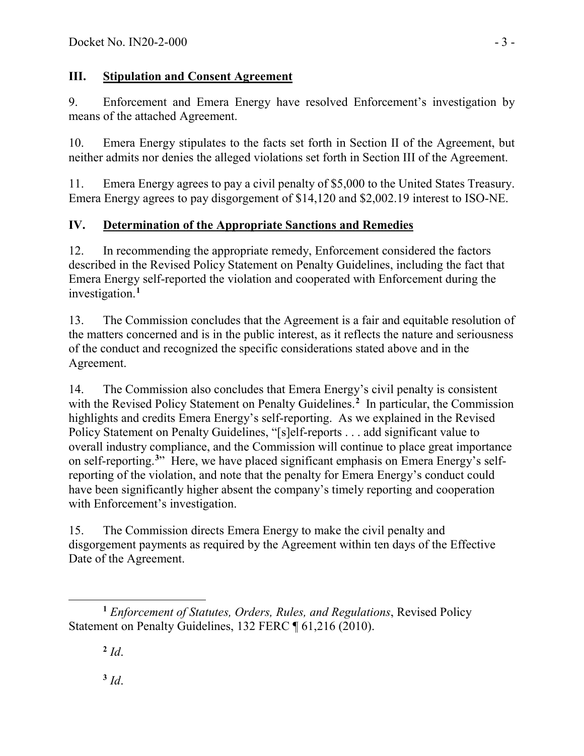## **III. Stipulation and Consent Agreement**

9. Enforcement and Emera Energy have resolved Enforcement's investigation by means of the attached Agreement.

10. Emera Energy stipulates to the facts set forth in Section II of the Agreement, but neither admits nor denies the alleged violations set forth in Section III of the Agreement.

11. Emera Energy agrees to pay a civil penalty of \$5,000 to the United States Treasury. Emera Energy agrees to pay disgorgement of \$14,120 and \$2,002.19 interest to ISO-NE.

## **IV. Determination of the Appropriate Sanctions and Remedies**

12. In recommending the appropriate remedy, Enforcement considered the factors described in the Revised Policy Statement on Penalty Guidelines, including the fact that Emera Energy self-reported the violation and cooperated with Enforcement during the investigation.**[1](#page-2-0)**

13. The Commission concludes that the Agreement is a fair and equitable resolution of the matters concerned and is in the public interest, as it reflects the nature and seriousness of the conduct and recognized the specific considerations stated above and in the Agreement.

14. The Commission also concludes that Emera Energy's civil penalty is consistent with the Revised Policy Statement on Penalty Guidelines.**[2](#page-2-1)** In particular, the Commission highlights and credits Emera Energy's self-reporting. As we explained in the Revised Policy Statement on Penalty Guidelines, "[s]elf-reports . . . add significant value to overall industry compliance, and the Commission will continue to place great importance on self-reporting.<sup>[3](#page-2-2)</sup>" Here, we have placed significant emphasis on Emera Energy's selfreporting of the violation, and note that the penalty for Emera Energy's conduct could have been significantly higher absent the company's timely reporting and cooperation with Enforcement's investigation.

15. The Commission directs Emera Energy to make the civil penalty and disgorgement payments as required by the Agreement within ten days of the Effective Date of the Agreement.

**<sup>2</sup>** *Id*.

<span id="page-2-2"></span>**<sup>3</sup>** *Id*.

<span id="page-2-1"></span><span id="page-2-0"></span> $\overline{a}$ **<sup>1</sup>** *Enforcement of Statutes, Orders, Rules, and Regulations*, Revised Policy Statement on Penalty Guidelines, 132 FERC ¶ 61,216 (2010).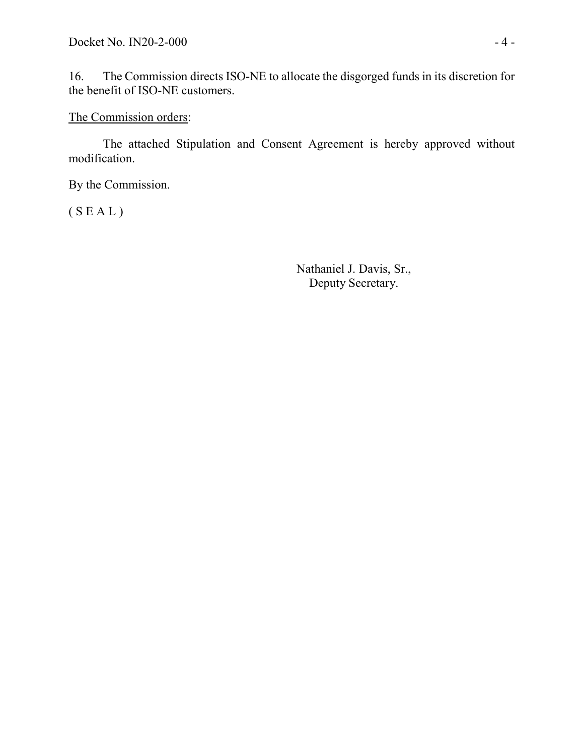16. The Commission directs ISO-NE to allocate the disgorged funds in its discretion for the benefit of ISO-NE customers.

## The Commission orders:

The attached Stipulation and Consent Agreement is hereby approved without modification.

By the Commission.

 $(S E A L)$ 

Nathaniel J. Davis, Sr., Deputy Secretary.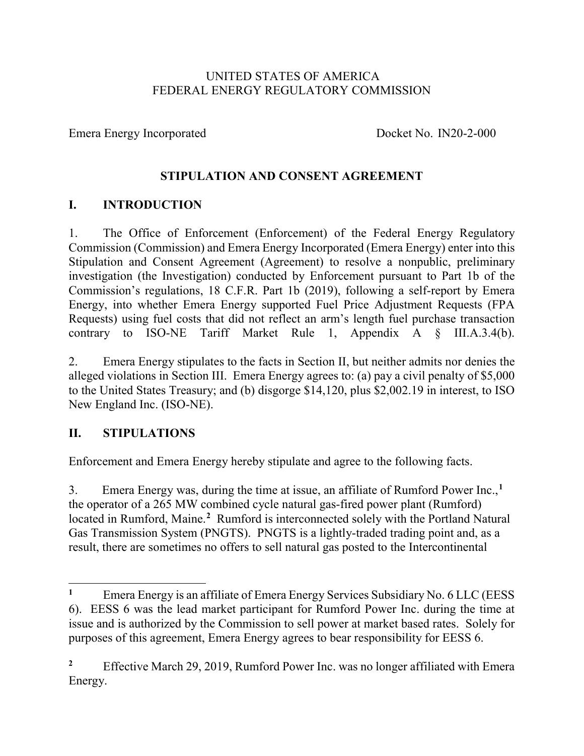#### UNITED STATES OF AMERICA FEDERAL ENERGY REGULATORY COMMISSION

Emera Energy Incorporated Docket No. IN20-2-000

### **STIPULATION AND CONSENT AGREEMENT**

### **I. INTRODUCTION**

1. The Office of Enforcement (Enforcement) of the Federal Energy Regulatory Commission (Commission) and Emera Energy Incorporated (Emera Energy) enter into this Stipulation and Consent Agreement (Agreement) to resolve a nonpublic, preliminary investigation (the Investigation) conducted by Enforcement pursuant to Part 1b of the Commission's regulations, 18 C.F.R. Part 1b (2019), following a self-report by Emera Energy, into whether Emera Energy supported Fuel Price Adjustment Requests (FPA Requests) using fuel costs that did not reflect an arm's length fuel purchase transaction contrary to ISO-NE Tariff Market Rule 1, Appendix A § III.A.3.4(b).

2. Emera Energy stipulates to the facts in Section II, but neither admits nor denies the alleged violations in Section III. Emera Energy agrees to: (a) pay a civil penalty of \$5,000 to the United States Treasury; and (b) disgorge \$14,120, plus \$2,002.19 in interest, to ISO New England Inc. (ISO-NE).

## **II. STIPULATIONS**

 $\overline{a}$ 

Enforcement and Emera Energy hereby stipulate and agree to the following facts.

3. Emera Energy was, during the time at issue, an affiliate of Rumford Power Inc.,**[1](#page-4-0)** the operator of a 265 MW combined cycle natural gas-fired power plant (Rumford) located in Rumford, Maine.<sup>[2](#page-4-1)</sup> Rumford is interconnected solely with the Portland Natural Gas Transmission System (PNGTS). PNGTS is a lightly-traded trading point and, as a result, there are sometimes no offers to sell natural gas posted to the Intercontinental

<span id="page-4-0"></span><sup>&</sup>lt;sup>1</sup> Emera Energy is an affiliate of Emera Energy Services Subsidiary No. 6 LLC (EESS 6). EESS 6 was the lead market participant for Rumford Power Inc. during the time at issue and is authorized by the Commission to sell power at market based rates. Solely for purposes of this agreement, Emera Energy agrees to bear responsibility for EESS 6.

<span id="page-4-1"></span><sup>&</sup>lt;sup>2</sup> Effective March 29, 2019, Rumford Power Inc. was no longer affiliated with Emera Energy.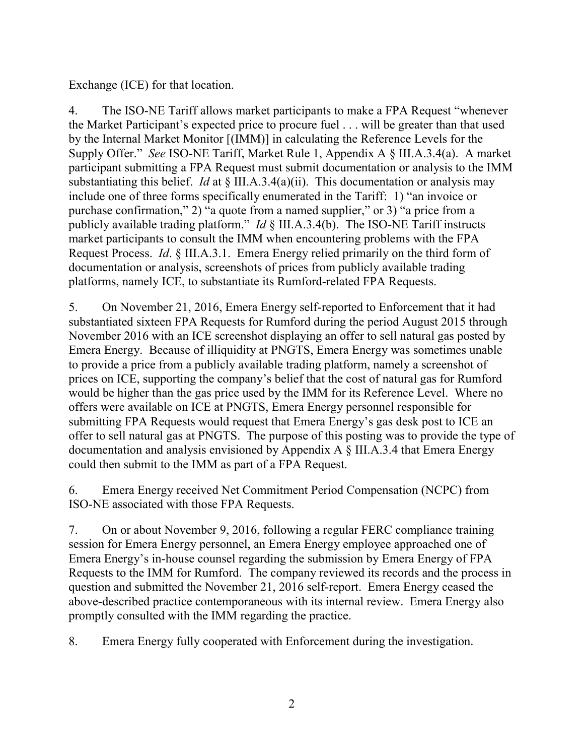Exchange (ICE) for that location.

4. The ISO-NE Tariff allows market participants to make a FPA Request "whenever the Market Participant's expected price to procure fuel . . . will be greater than that used by the Internal Market Monitor [(IMM)] in calculating the Reference Levels for the Supply Offer." *See* ISO-NE Tariff, Market Rule 1, Appendix A § III.A.3.4(a). A market participant submitting a FPA Request must submit documentation or analysis to the IMM substantiating this belief. *Id* at § III.A.3.4(a)(ii). This documentation or analysis may include one of three forms specifically enumerated in the Tariff: 1) "an invoice or purchase confirmation," 2) "a quote from a named supplier," or 3) "a price from a publicly available trading platform." *Id* § III.A.3.4(b). The ISO-NE Tariff instructs market participants to consult the IMM when encountering problems with the FPA Request Process. *Id*. § III.A.3.1. Emera Energy relied primarily on the third form of documentation or analysis, screenshots of prices from publicly available trading platforms, namely ICE, to substantiate its Rumford-related FPA Requests.

5. On November 21, 2016, Emera Energy self-reported to Enforcement that it had substantiated sixteen FPA Requests for Rumford during the period August 2015 through November 2016 with an ICE screenshot displaying an offer to sell natural gas posted by Emera Energy. Because of illiquidity at PNGTS, Emera Energy was sometimes unable to provide a price from a publicly available trading platform, namely a screenshot of prices on ICE, supporting the company's belief that the cost of natural gas for Rumford would be higher than the gas price used by the IMM for its Reference Level. Where no offers were available on ICE at PNGTS, Emera Energy personnel responsible for submitting FPA Requests would request that Emera Energy's gas desk post to ICE an offer to sell natural gas at PNGTS. The purpose of this posting was to provide the type of documentation and analysis envisioned by Appendix A § III.A.3.4 that Emera Energy could then submit to the IMM as part of a FPA Request.

6. Emera Energy received Net Commitment Period Compensation (NCPC) from ISO-NE associated with those FPA Requests.

7. On or about November 9, 2016, following a regular FERC compliance training session for Emera Energy personnel, an Emera Energy employee approached one of Emera Energy's in-house counsel regarding the submission by Emera Energy of FPA Requests to the IMM for Rumford. The company reviewed its records and the process in question and submitted the November 21, 2016 self-report. Emera Energy ceased the above-described practice contemporaneous with its internal review. Emera Energy also promptly consulted with the IMM regarding the practice.

8. Emera Energy fully cooperated with Enforcement during the investigation.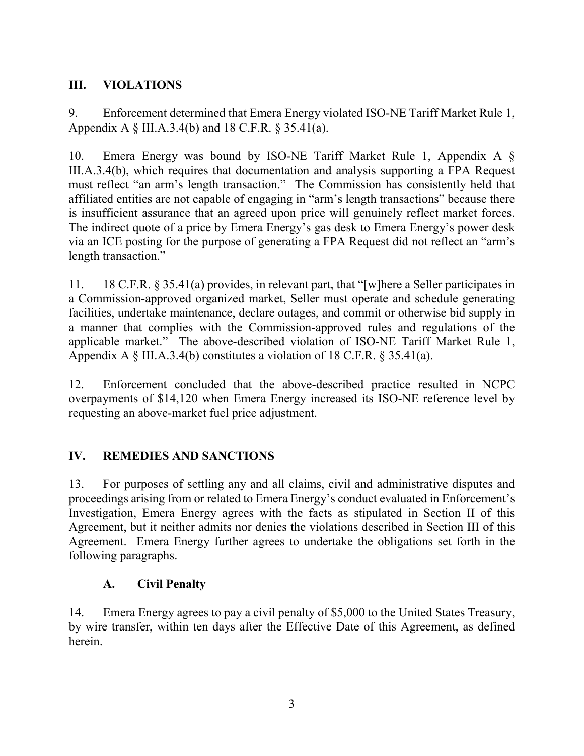### **III. VIOLATIONS**

9. Enforcement determined that Emera Energy violated ISO-NE Tariff Market Rule 1, Appendix A § III.A.3.4(b) and 18 C.F.R. § 35.41(a).

10. Emera Energy was bound by ISO-NE Tariff Market Rule 1, Appendix A § III.A.3.4(b), which requires that documentation and analysis supporting a FPA Request must reflect "an arm's length transaction." The Commission has consistently held that affiliated entities are not capable of engaging in "arm's length transactions" because there is insufficient assurance that an agreed upon price will genuinely reflect market forces. The indirect quote of a price by Emera Energy's gas desk to Emera Energy's power desk via an ICE posting for the purpose of generating a FPA Request did not reflect an "arm's length transaction."

11. 18 C.F.R. § 35.41(a) provides, in relevant part, that "[w]here a Seller participates in a Commission-approved organized market, Seller must operate and schedule generating facilities, undertake maintenance, declare outages, and commit or otherwise bid supply in a manner that complies with the Commission-approved rules and regulations of the applicable market." The above-described violation of ISO-NE Tariff Market Rule 1, Appendix A  $\S$  III.A.3.4(b) constitutes a violation of 18 C.F.R.  $\S$  35.41(a).

12. Enforcement concluded that the above-described practice resulted in NCPC overpayments of \$14,120 when Emera Energy increased its ISO-NE reference level by requesting an above-market fuel price adjustment.

#### **IV. REMEDIES AND SANCTIONS**

13. For purposes of settling any and all claims, civil and administrative disputes and proceedings arising from or related to Emera Energy's conduct evaluated in Enforcement's Investigation, Emera Energy agrees with the facts as stipulated in Section II of this Agreement, but it neither admits nor denies the violations described in Section III of this Agreement. Emera Energy further agrees to undertake the obligations set forth in the following paragraphs.

#### **A. Civil Penalty**

14. Emera Energy agrees to pay a civil penalty of \$5,000 to the United States Treasury, by wire transfer, within ten days after the Effective Date of this Agreement, as defined herein.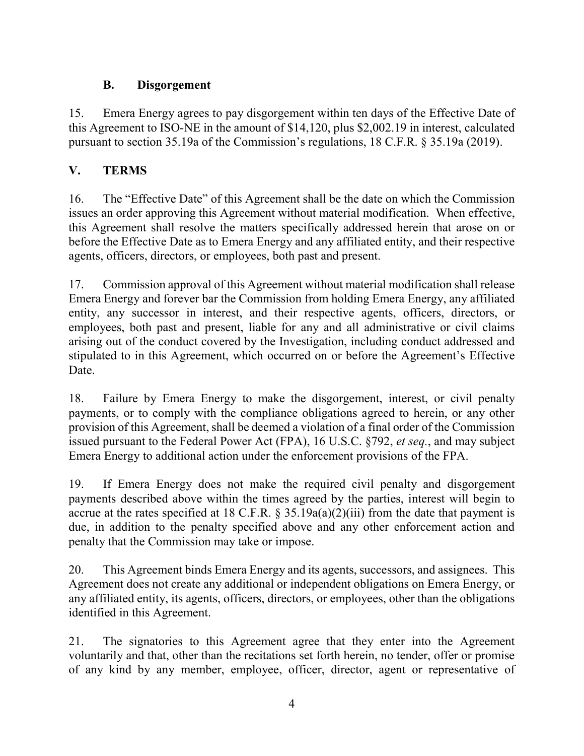### **B. Disgorgement**

15. Emera Energy agrees to pay disgorgement within ten days of the Effective Date of this Agreement to ISO-NE in the amount of \$14,120, plus \$2,002.19 in interest, calculated pursuant to section 35.19a of the Commission's regulations, 18 C.F.R. § 35.19a (2019).

### **V. TERMS**

16. The "Effective Date" of this Agreement shall be the date on which the Commission issues an order approving this Agreement without material modification. When effective, this Agreement shall resolve the matters specifically addressed herein that arose on or before the Effective Date as to Emera Energy and any affiliated entity, and their respective agents, officers, directors, or employees, both past and present.

17. Commission approval of this Agreement without material modification shall release Emera Energy and forever bar the Commission from holding Emera Energy, any affiliated entity, any successor in interest, and their respective agents, officers, directors, or employees, both past and present, liable for any and all administrative or civil claims arising out of the conduct covered by the Investigation, including conduct addressed and stipulated to in this Agreement, which occurred on or before the Agreement's Effective Date.

18. Failure by Emera Energy to make the disgorgement, interest, or civil penalty payments, or to comply with the compliance obligations agreed to herein, or any other provision of this Agreement, shall be deemed a violation of a final order of the Commission issued pursuant to the Federal Power Act (FPA), 16 U.S.C. §792, *et seq.*, and may subject Emera Energy to additional action under the enforcement provisions of the FPA.

19. If Emera Energy does not make the required civil penalty and disgorgement payments described above within the times agreed by the parties, interest will begin to accrue at the rates specified at 18 C.F.R.  $\S$  35.19a(a)(2)(iii) from the date that payment is due, in addition to the penalty specified above and any other enforcement action and penalty that the Commission may take or impose.

20. This Agreement binds Emera Energy and its agents, successors, and assignees. This Agreement does not create any additional or independent obligations on Emera Energy, or any affiliated entity, its agents, officers, directors, or employees, other than the obligations identified in this Agreement.

21. The signatories to this Agreement agree that they enter into the Agreement voluntarily and that, other than the recitations set forth herein, no tender, offer or promise of any kind by any member, employee, officer, director, agent or representative of